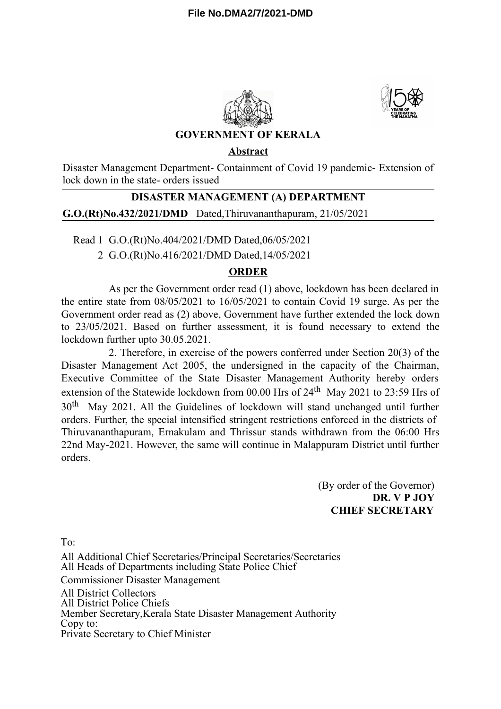



# **GOVERNMENT OF KERALA**

#### **Abstract**

Disaster Management Department- Containment of Covid 19 pandemic- Extension of lock down in the state- orders issued

# **DISASTER MANAGEMENT (A) DEPARTMENT**

**G.O.(Rt)No.432/2021/DMD** Dated,Thiruvananthapuram, 21/05/2021

Read 1 G.O.(Rt)No.404/2021/DMD Dated,06/05/2021

2 G.O.(Rt)No.416/2021/DMD Dated,14/05/2021

## **ORDER**

As per the Government order read (1) above, lockdown has been declared in the entire state from 08/05/2021 to 16/05/2021 to contain Covid 19 surge. As per the Government order read as (2) above, Government have further extended the lock down to 23/05/2021. Based on further assessment, it is found necessary to extend the lockdown further upto 30.05.2021.

2. Therefore, in exercise of the powers conferred under Section 20(3) of the Disaster Management Act 2005, the undersigned in the capacity of the Chairman, Executive Committee of the State Disaster Management Authority hereby orders extension of the Statewide lockdown from 00.00 Hrs of 24<sup>th</sup> May 2021 to 23:59 Hrs of 30<sup>th</sup> May 2021. All the Guidelines of lockdown will stand unchanged until further orders. Further, the special intensified stringent restrictions enforced in the districts of Thiruvananthapuram, Ernakulam and Thrissur stands withdrawn from the 06:00 Hrs 22nd May-2021. However, the same will continue in Malappuram District until further orders.

> (By order of the Governor) **DR. V P JOY CHIEF SECRETARY**

 $To'$ 

All Additional Chief Secretaries/Principal Secretaries/Secretaries All Heads of Departments including State Police Chief Commissioner Disaster Management All District Collectors All District Police Chiefs Member Secretary,Kerala State Disaster Management Authority Copy to: Private Secretary to Chief Minister